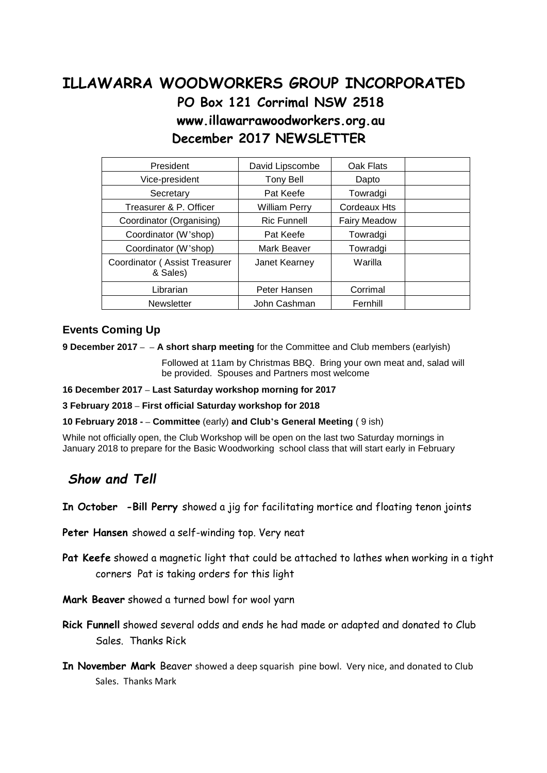## **ILLAWARRA WOODWORKERS GROUP INCORPORATED PO Box 121 Corrimal NSW 2518 www.illawarrawoodworkers.org.au December 2017 NEWSLETTER**

| President                                 | David Lipscombe      | Oak Flats    |  |
|-------------------------------------------|----------------------|--------------|--|
| Vice-president                            | <b>Tony Bell</b>     | Dapto        |  |
| Secretary                                 | Pat Keefe            | Towradgi     |  |
| Treasurer & P. Officer                    | <b>William Perry</b> | Cordeaux Hts |  |
| Coordinator (Organising)                  | <b>Ric Funnell</b>   | Fairy Meadow |  |
| Coordinator (W'shop)                      | Pat Keefe            | Towradgi     |  |
| Coordinator (W'shop)                      | Mark Beaver          | Towradgi     |  |
| Coordinator (Assist Treasurer<br>& Sales) | Janet Kearney        | Warilla      |  |
| Librarian                                 | Peter Hansen         | Corrimal     |  |
| <b>Newsletter</b>                         | John Cashman         | Fernhill     |  |

## **Events Coming Up**

**9 December 2017 – – A short sharp meeting** for the Committee and Club members (earlyish)

Followed at 11am by Christmas BBQ. Bring your own meat and, salad will be provided. Spouses and Partners most welcome

**16 December 2017 – Last Saturday workshop morning for 2017**

**3 February 2018 – First official Saturday workshop for 2018**

**10 February 2018 - – Committee** (early) **and Club's General Meeting** ( 9 ish)

While not officially open, the Club Workshop will be open on the last two Saturday mornings in January 2018 to prepare for the Basic Woodworking school class that will start early in February

## *Show and Tell*

**In October -Bill Perry** showed a jig for facilitating mortice and floating tenon joints

**Peter Hansen** showed a self-winding top. Very neat

**Pat Keefe** showed a magnetic light that could be attached to lathes when working in a tight corners Pat is taking orders for this light

**Mark Beaver** showed a turned bowl for wool yarn

**Rick Funnell** showed several odds and ends he had made or adapted and donated to Club Sales. Thanks Rick

**In November Mark** Beaver showed a deep squarish pine bowl. Very nice, and donated to Club Sales. Thanks Mark